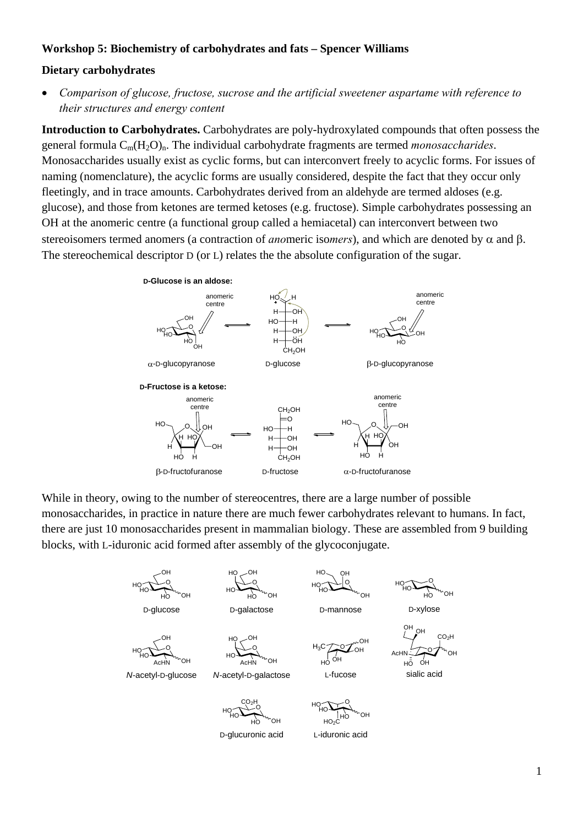## **Workshop 5: Biochemistry of carbohydrates and fats – Spencer Williams**

## **Dietary carbohydrates**

 *Comparison of glucose, fructose, sucrose and the artificial sweetener aspartame with reference to their structures and energy content* 

**Introduction to Carbohydrates.** Carbohydrates are poly-hydroxylated compounds that often possess the general formula Cm(H2O)n. The individual carbohydrate fragments are termed *monosaccharides*. Monosaccharides usually exist as cyclic forms, but can interconvert freely to acyclic forms. For issues of naming (nomenclature), the acyclic forms are usually considered, despite the fact that they occur only fleetingly, and in trace amounts. Carbohydrates derived from an aldehyde are termed aldoses (e.g. glucose), and those from ketones are termed ketoses (e.g. fructose). Simple carbohydrates possessing an OH at the anomeric centre (a functional group called a hemiacetal) can interconvert between two stereoisomers termed anomers (a contraction of *anomeric* isomers), and which are denoted by  $\alpha$  and  $\beta$ . The stereochemical descriptor D (or L) relates the the absolute configuration of the sugar.



While in theory, owing to the number of stereocentres, there are a large number of possible monosaccharides, in practice in nature there are much fewer carbohydrates relevant to humans. In fact, there are just 10 monosaccharides present in mammalian biology. These are assembled from 9 building blocks, with L-iduronic acid formed after assembly of the glycoconjugate.

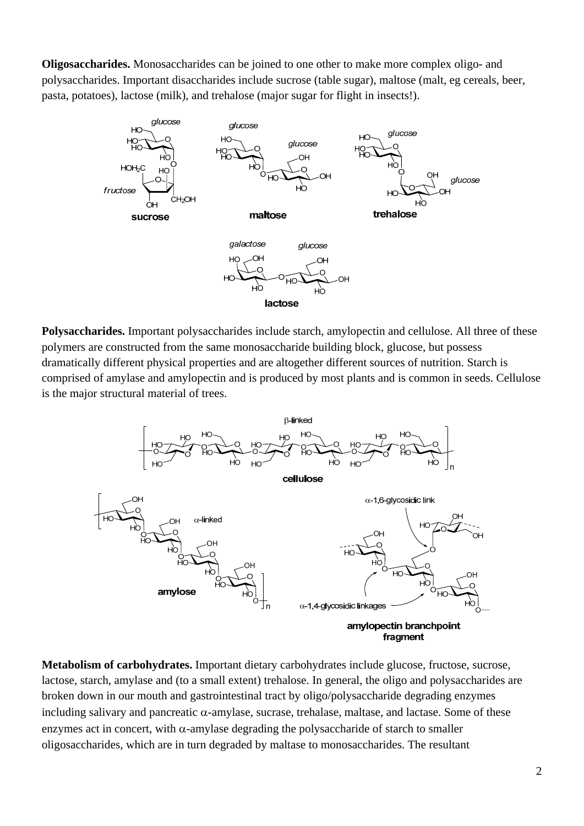**Oligosaccharides.** Monosaccharides can be joined to one other to make more complex oligo- and polysaccharides. Important disaccharides include sucrose (table sugar), maltose (malt, eg cereals, beer, pasta, potatoes), lactose (milk), and trehalose (major sugar for flight in insects!).



**Polysaccharides.** Important polysaccharides include starch, amylopectin and cellulose. All three of these polymers are constructed from the same monosaccharide building block, glucose, but possess dramatically different physical properties and are altogether different sources of nutrition. Starch is comprised of amylase and amylopectin and is produced by most plants and is common in seeds. Cellulose is the major structural material of trees.



**Metabolism of carbohydrates.** Important dietary carbohydrates include glucose, fructose, sucrose, lactose, starch, amylase and (to a small extent) trehalose. In general, the oligo and polysaccharides are broken down in our mouth and gastrointestinal tract by oligo/polysaccharide degrading enzymes including salivary and pancreatic  $\alpha$ -amylase, sucrase, trehalase, maltase, and lactase. Some of these enzymes act in concert, with  $\alpha$ -amylase degrading the polysaccharide of starch to smaller oligosaccharides, which are in turn degraded by maltase to monosaccharides. The resultant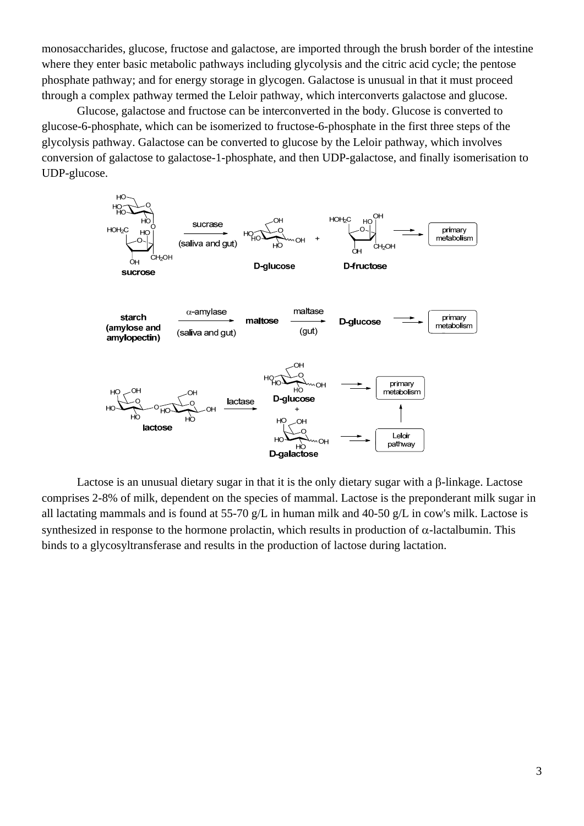monosaccharides, glucose, fructose and galactose, are imported through the brush border of the intestine where they enter basic metabolic pathways including glycolysis and the citric acid cycle; the pentose phosphate pathway; and for energy storage in glycogen. Galactose is unusual in that it must proceed through a complex pathway termed the Leloir pathway, which interconverts galactose and glucose.

 Glucose, galactose and fructose can be interconverted in the body. Glucose is converted to glucose-6-phosphate, which can be isomerized to fructose-6-phosphate in the first three steps of the glycolysis pathway. Galactose can be converted to glucose by the Leloir pathway, which involves conversion of galactose to galactose-1-phosphate, and then UDP-galactose, and finally isomerisation to UDP-glucose.



Lactose is an unusual dietary sugar in that it is the only dietary sugar with a  $\beta$ -linkage. Lactose comprises 2-8% of milk, dependent on the species of mammal. Lactose is the preponderant milk sugar in all lactating mammals and is found at 55-70 g/L in human milk and 40-50 g/L in cow's milk. Lactose is synthesized in response to the hormone prolactin, which results in production of  $\alpha$ -lactalbumin. This binds to a glycosyltransferase and results in the production of lactose during lactation.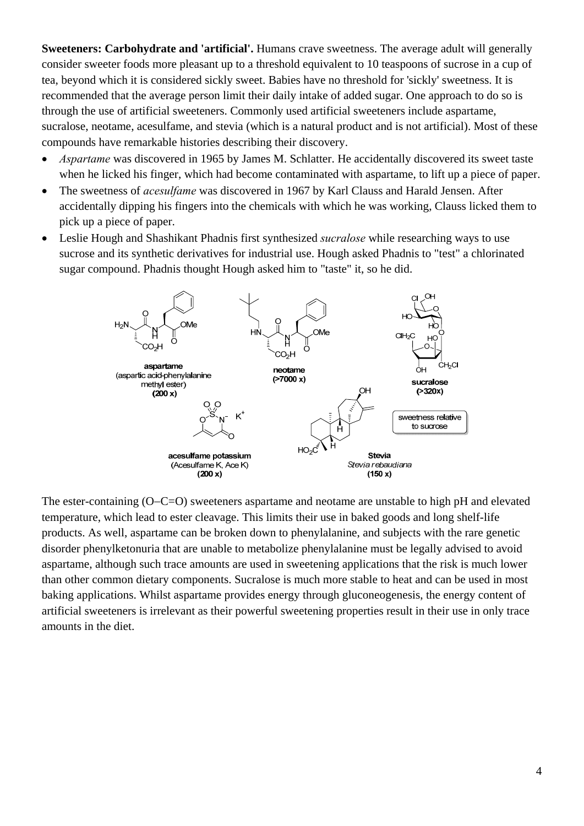**Sweeteners: Carbohydrate and 'artificial'.** Humans crave sweetness. The average adult will generally consider sweeter foods more pleasant up to a threshold equivalent to 10 teaspoons of sucrose in a cup of tea, beyond which it is considered sickly sweet. Babies have no threshold for 'sickly' sweetness. It is recommended that the average person limit their daily intake of added sugar. One approach to do so is through the use of artificial sweeteners. Commonly used artificial sweeteners include aspartame, sucralose, neotame, acesulfame, and stevia (which is a natural product and is not artificial). Most of these compounds have remarkable histories describing their discovery.

- *Aspartame* was discovered in 1965 by James M. Schlatter. He accidentally discovered its sweet taste when he licked his finger, which had become contaminated with aspartame, to lift up a piece of paper.
- The sweetness of *acesulfame* was discovered in 1967 by Karl Clauss and Harald Jensen. After accidentally dipping his fingers into the chemicals with which he was working, Clauss licked them to pick up a piece of paper.
- Leslie Hough and Shashikant Phadnis first synthesized *sucralose* while researching ways to use sucrose and its synthetic derivatives for industrial use. Hough asked Phadnis to "test" a chlorinated sugar compound. Phadnis thought Hough asked him to "taste" it, so he did.



The ester-containing  $(O–C=O)$  sweeteners aspartame and neotame are unstable to high pH and elevated temperature, which lead to ester cleavage. This limits their use in baked goods and long shelf-life products. As well, aspartame can be broken down to phenylalanine, and subjects with the rare genetic disorder phenylketonuria that are unable to metabolize phenylalanine must be legally advised to avoid aspartame, although such trace amounts are used in sweetening applications that the risk is much lower than other common dietary components. Sucralose is much more stable to heat and can be used in most baking applications. Whilst aspartame provides energy through gluconeogenesis, the energy content of artificial sweeteners is irrelevant as their powerful sweetening properties result in their use in only trace amounts in the diet.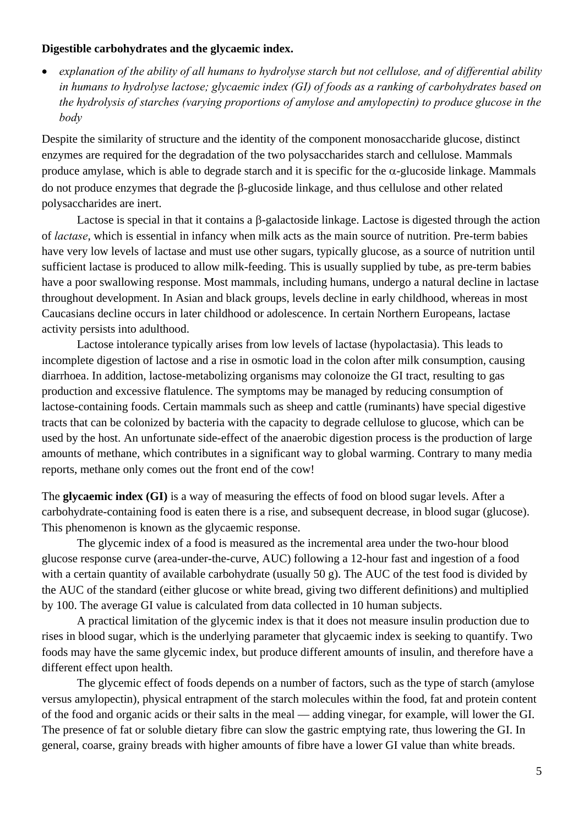## **Digestible carbohydrates and the glycaemic index.**

 *explanation of the ability of all humans to hydrolyse starch but not cellulose, and of differential ability in humans to hydrolyse lactose; glycaemic index (GI) of foods as a ranking of carbohydrates based on the hydrolysis of starches (varying proportions of amylose and amylopectin) to produce glucose in the body* 

Despite the similarity of structure and the identity of the component monosaccharide glucose, distinct enzymes are required for the degradation of the two polysaccharides starch and cellulose. Mammals produce amylase, which is able to degrade starch and it is specific for the  $\alpha$ -glucoside linkage. Mammals do not produce enzymes that degrade the  $\beta$ -glucoside linkage, and thus cellulose and other related polysaccharides are inert.

Lactose is special in that it contains a  $\beta$ -galactoside linkage. Lactose is digested through the action of *lactase*, which is essential in infancy when milk acts as the main source of nutrition. Pre-term babies have very low levels of lactase and must use other sugars, typically glucose, as a source of nutrition until sufficient lactase is produced to allow milk-feeding. This is usually supplied by tube, as pre-term babies have a poor swallowing response. Most mammals, including humans, undergo a natural decline in lactase throughout development. In Asian and black groups, levels decline in early childhood, whereas in most Caucasians decline occurs in later childhood or adolescence. In certain Northern Europeans, lactase activity persists into adulthood.

 Lactose intolerance typically arises from low levels of lactase (hypolactasia). This leads to incomplete digestion of lactose and a rise in osmotic load in the colon after milk consumption, causing diarrhoea. In addition, lactose-metabolizing organisms may colonoize the GI tract, resulting to gas production and excessive flatulence. The symptoms may be managed by reducing consumption of lactose-containing foods. Certain mammals such as sheep and cattle (ruminants) have special digestive tracts that can be colonized by bacteria with the capacity to degrade cellulose to glucose, which can be used by the host. An unfortunate side-effect of the anaerobic digestion process is the production of large amounts of methane, which contributes in a significant way to global warming. Contrary to many media reports, methane only comes out the front end of the cow!

The **glycaemic index (GI)** is a way of measuring the effects of food on blood sugar levels. After a carbohydrate-containing food is eaten there is a rise, and subsequent decrease, in blood sugar (glucose). This phenomenon is known as the glycaemic response.

 The glycemic index of a food is measured as the incremental area under the two-hour blood glucose response curve (area-under-the-curve, AUC) following a 12-hour fast and ingestion of a food with a certain quantity of available carbohydrate (usually 50 g). The AUC of the test food is divided by the AUC of the standard (either glucose or white bread, giving two different definitions) and multiplied by 100. The average GI value is calculated from data collected in 10 human subjects.

 A practical limitation of the glycemic index is that it does not measure insulin production due to rises in blood sugar, which is the underlying parameter that glycaemic index is seeking to quantify. Two foods may have the same glycemic index, but produce different amounts of insulin, and therefore have a different effect upon health.

 The glycemic effect of foods depends on a number of factors, such as the type of starch (amylose versus amylopectin), physical entrapment of the starch molecules within the food, fat and protein content of the food and organic acids or their salts in the meal — adding vinegar, for example, will lower the GI. The presence of fat or soluble dietary fibre can slow the gastric emptying rate, thus lowering the GI. In general, coarse, grainy breads with higher amounts of fibre have a lower GI value than white breads.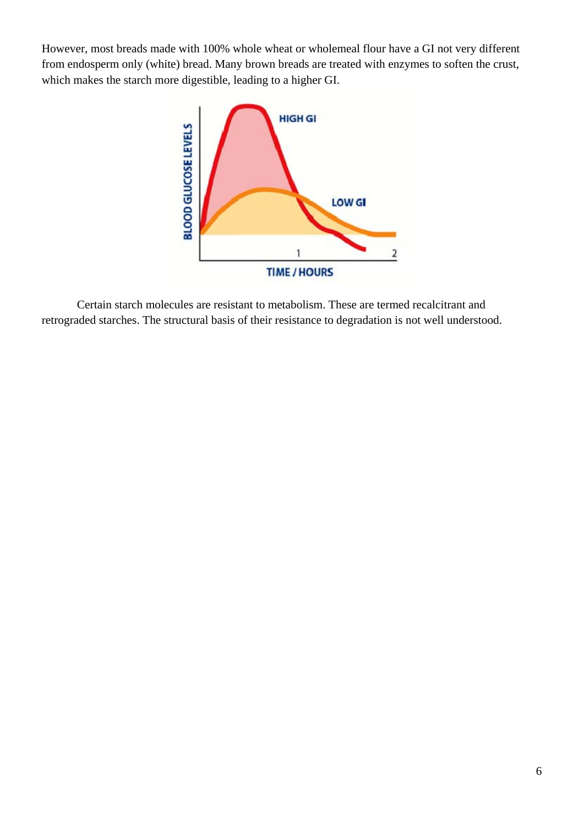However, most breads made with 100% whole wheat or wholemeal flour have a GI not very different from endosperm only (white) bread. Many brown breads are treated with enzymes to soften the crust, which makes the starch more digestible, leading to a higher GI.



 Certain starch molecules are resistant to metabolism. These are termed recalcitrant and retrograded starches. The structural basis of their resistance to degradation is not well understood.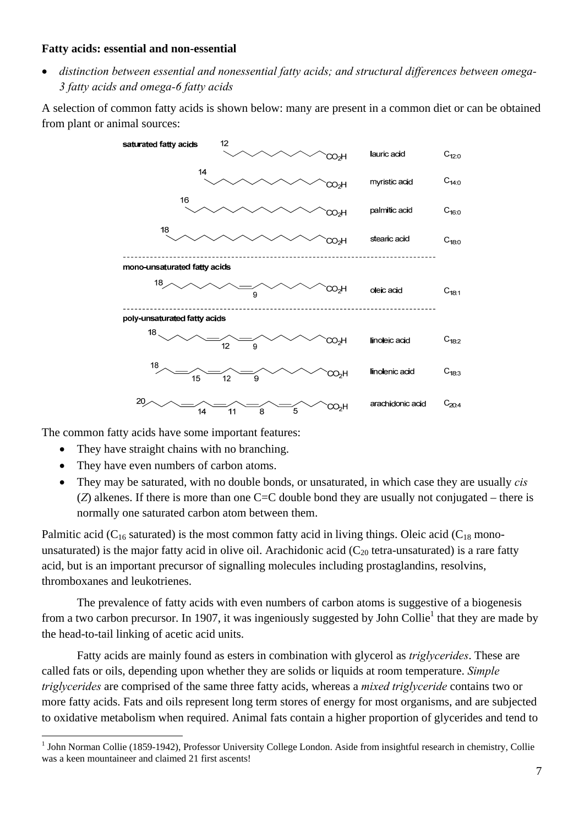### **Fatty acids: essential and non-essential**

 *distinction between essential and nonessential fatty acids; and structural differences between omega-3 fatty acids and omega-6 fatty acids* 

A selection of common fatty acids is shown below: many are present in a common diet or can be obtained from plant or animal sources:



The common fatty acids have some important features:

- They have straight chains with no branching.
- They have even numbers of carbon atoms.
- They may be saturated, with no double bonds, or unsaturated, in which case they are usually *cis*  $(Z)$  alkenes. If there is more than one C=C double bond they are usually not conjugated – there is normally one saturated carbon atom between them.

Palmitic acid ( $C_{16}$  saturated) is the most common fatty acid in living things. Oleic acid ( $C_{18}$  monounsaturated) is the major fatty acid in olive oil. Arachidonic acid  $(C_{20}$  tetra-unsaturated) is a rare fatty acid, but is an important precursor of signalling molecules including prostaglandins, resolvins, thromboxanes and leukotrienes.

 The prevalence of fatty acids with even numbers of carbon atoms is suggestive of a biogenesis from a two carbon precursor. In 1907, it was ingeniously suggested by John Collie<sup>1</sup> that they are made by the head-to-tail linking of acetic acid units.

 Fatty acids are mainly found as esters in combination with glycerol as *triglycerides*. These are called fats or oils, depending upon whether they are solids or liquids at room temperature. *Simple triglycerides* are comprised of the same three fatty acids, whereas a *mixed triglyceride* contains two or more fatty acids. Fats and oils represent long term stores of energy for most organisms, and are subjected to oxidative metabolism when required. Animal fats contain a higher proportion of glycerides and tend to

 $\overline{a}$ <sup>1</sup> John Norman Collie (1859-1942), Professor University College London. Aside from insightful research in chemistry, Collie was a keen mountaineer and claimed 21 first ascents!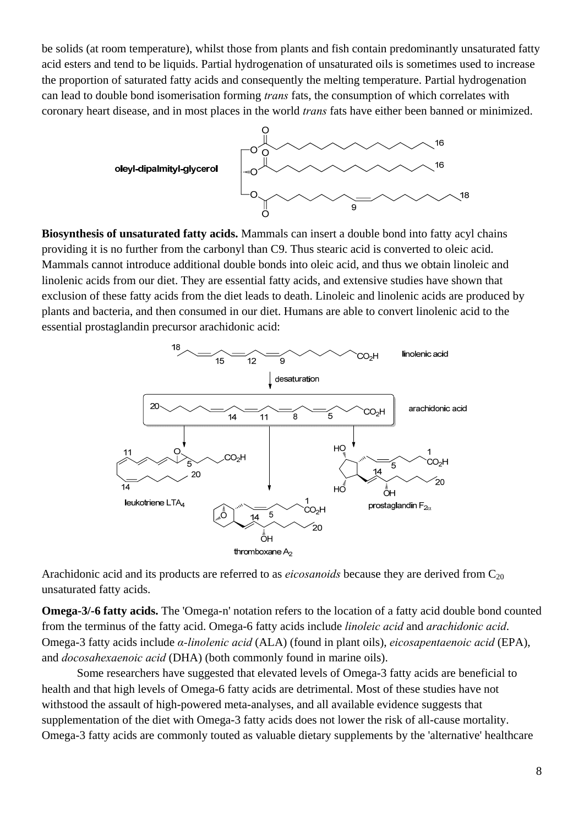be solids (at room temperature), whilst those from plants and fish contain predominantly unsaturated fatty acid esters and tend to be liquids. Partial hydrogenation of unsaturated oils is sometimes used to increase the proportion of saturated fatty acids and consequently the melting temperature. Partial hydrogenation can lead to double bond isomerisation forming *trans* fats, the consumption of which correlates with coronary heart disease, and in most places in the world *trans* fats have either been banned or minimized.



**Biosynthesis of unsaturated fatty acids.** Mammals can insert a double bond into fatty acyl chains providing it is no further from the carbonyl than C9. Thus stearic acid is converted to oleic acid. Mammals cannot introduce additional double bonds into oleic acid, and thus we obtain linoleic and linolenic acids from our diet. They are essential fatty acids, and extensive studies have shown that exclusion of these fatty acids from the diet leads to death. Linoleic and linolenic acids are produced by plants and bacteria, and then consumed in our diet. Humans are able to convert linolenic acid to the essential prostaglandin precursor arachidonic acid:



Arachidonic acid and its products are referred to as *eicosanoids* because they are derived from  $C_{20}$ unsaturated fatty acids.

**Omega-3/-6 fatty acids.** The 'Omega-n' notation refers to the location of a fatty acid double bond counted from the terminus of the fatty acid. Omega-6 fatty acids include *linoleic acid* and *arachidonic acid*. Omega-3 fatty acids include *α-linolenic acid* (ALA) (found in plant oils), *eicosapentaenoic acid* (EPA), and *docosahexaenoic acid* (DHA) (both commonly found in marine oils).

 Some researchers have suggested that elevated levels of Omega-3 fatty acids are beneficial to health and that high levels of Omega-6 fatty acids are detrimental. Most of these studies have not withstood the assault of high-powered meta-analyses, and all available evidence suggests that supplementation of the diet with Omega-3 fatty acids does not lower the risk of all-cause mortality. Omega-3 fatty acids are commonly touted as valuable dietary supplements by the 'alternative' healthcare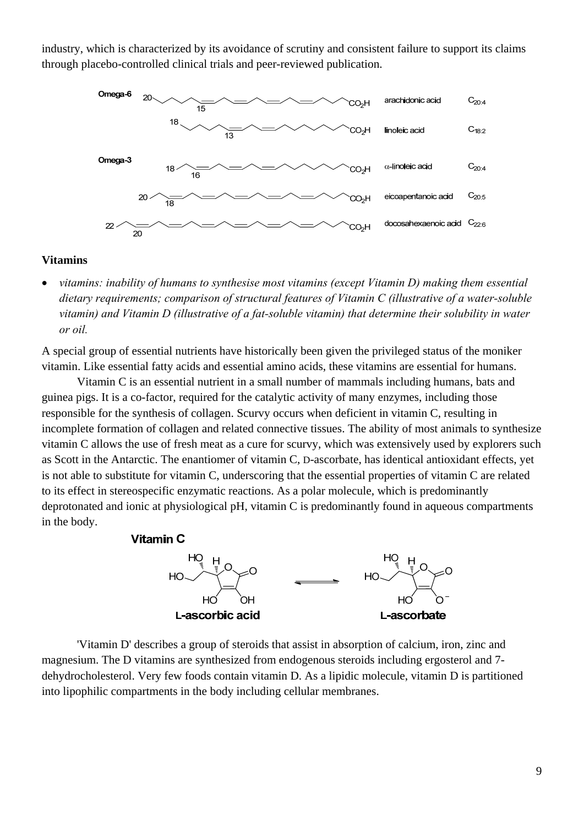industry, which is characterized by its avoidance of scrutiny and consistent failure to support its claims through placebo-controlled clinical trials and peer-reviewed publication.



#### **Vitamins**

 *vitamins: inability of humans to synthesise most vitamins (except Vitamin D) making them essential dietary requirements; comparison of structural features of Vitamin C (illustrative of a water-soluble vitamin) and Vitamin D (illustrative of a fat-soluble vitamin) that determine their solubility in water or oil.* 

A special group of essential nutrients have historically been given the privileged status of the moniker vitamin. Like essential fatty acids and essential amino acids, these vitamins are essential for humans.

 Vitamin C is an essential nutrient in a small number of mammals including humans, bats and guinea pigs. It is a co-factor, required for the catalytic activity of many enzymes, including those responsible for the synthesis of collagen. Scurvy occurs when deficient in vitamin C, resulting in incomplete formation of collagen and related connective tissues. The ability of most animals to synthesize vitamin C allows the use of fresh meat as a cure for scurvy, which was extensively used by explorers such as Scott in the Antarctic. The enantiomer of vitamin C, D-ascorbate, has identical antioxidant effects, yet is not able to substitute for vitamin C, underscoring that the essential properties of vitamin C are related to its effect in stereospecific enzymatic reactions. As a polar molecule, which is predominantly deprotonated and ionic at physiological pH, vitamin C is predominantly found in aqueous compartments in the body.





 'Vitamin D' describes a group of steroids that assist in absorption of calcium, iron, zinc and magnesium. The D vitamins are synthesized from endogenous steroids including ergosterol and 7 dehydrocholesterol. Very few foods contain vitamin D. As a lipidic molecule, vitamin D is partitioned into lipophilic compartments in the body including cellular membranes.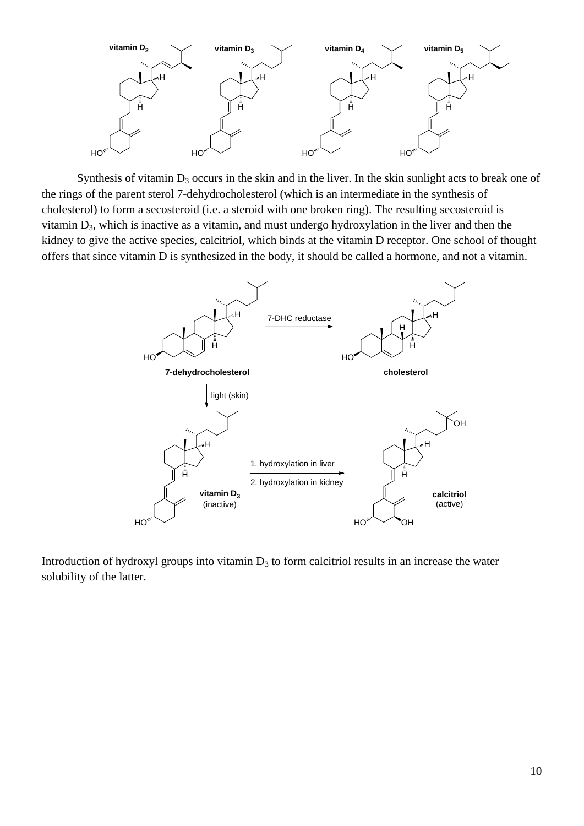

Synthesis of vitamin  $D_3$  occurs in the skin and in the liver. In the skin sunlight acts to break one of the rings of the parent sterol 7-dehydrocholesterol (which is an intermediate in the synthesis of cholesterol) to form a secosteroid (i.e. a steroid with one broken ring). The resulting secosteroid is vitamin D3, which is inactive as a vitamin, and must undergo hydroxylation in the liver and then the kidney to give the active species, calcitriol, which binds at the vitamin D receptor. One school of thought offers that since vitamin D is synthesized in the body, it should be called a hormone, and not a vitamin.



Introduction of hydroxyl groups into vitamin  $D_3$  to form calcitriol results in an increase the water solubility of the latter.